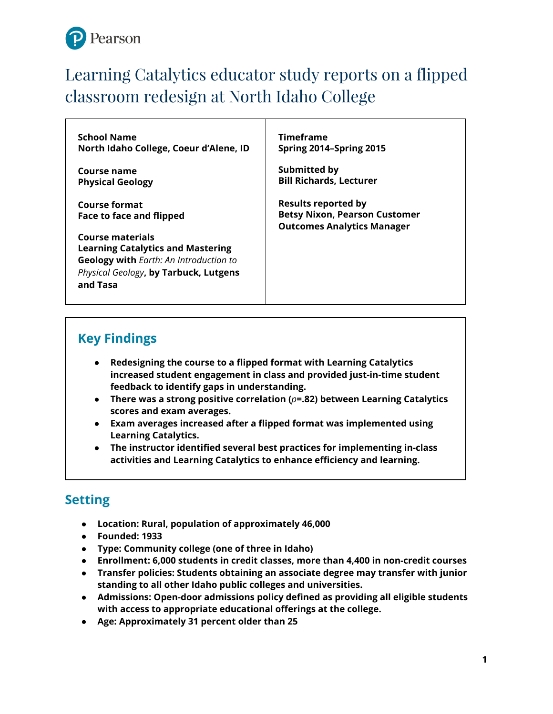

# Learning Catalytics educator study reports on a flipped classroom redesign at North Idaho College

**School Name North Idaho College, Coeur d'Alene, ID**

**Course name Physical Geology**

**Course format Face to face and flipped**

**Course materials Learning Catalytics and Mastering Geology with** *Earth: An Introduction to Physical Geology***, by Tarbuck, Lutgens and Tasa**

**Timeframe Spring 2014–Spring 2015**

**Submitted by Bill Richards, Lecturer**

**Results reported by Betsy Nixon, Pearson Customer Outcomes Analytics Manager**

## **Key Findings**

- **Redesigning the course to a flipped format with Learning Catalytics increased student engagement in class and provided just-in-time student feedback to identify gaps in understanding.**
- **There was a strong positive correlation (***p***=.82) between Learning Catalytics scores and exam averages.**
- **Exam averages increased after a flipped format was implemented using Learning Catalytics.**
- **The instructor identified several best practices for implementing in-class activities and Learning Catalytics to enhance efficiency and learning.**

## **Setting**

- **Location: Rural, population of approximately 46,000**
- **Founded: 1933**
- **Type: Community college (one of three in Idaho)**
- **Enrollment: 6,000 students in credit classes, more than 4,400 in non-credit courses**
- **Transfer policies: Students obtaining an associate degree may transfer with junior standing to all other Idaho public colleges and universities.**
- **Admissions: Open-door admissions policy defined as providing all eligible students with access to appropriate educational offerings at the college.**
- **Age: Approximately 31 percent older than 25**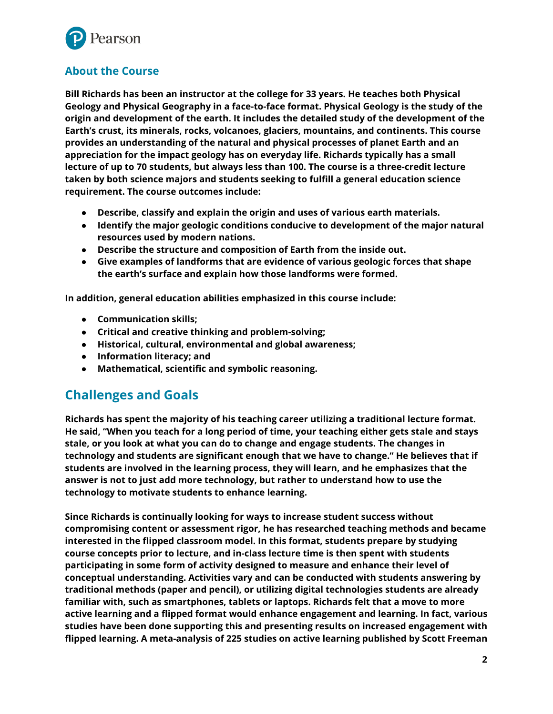

### **About the Course**

**Bill Richards has been an instructor at the college for 33 years. He teaches both Physical Geology and Physical Geography in a face-to-face format. Physical Geology is the study of the origin and development of the earth. It includes the detailed study of the development of the Earth's crust, its minerals, rocks, volcanoes, glaciers, mountains, and continents. This course provides an understanding of the natural and physical processes of planet Earth and an appreciation for the impact geology has on everyday life. Richards typically has a small lecture of up to 70 students, but always less than 100. The course is a three-credit lecture taken by both science majors and students seeking to fulfill a general education science requirement. The course outcomes include:**

- **Describe, classify and explain the origin and uses of various earth materials.**
- **Identify the major geologic conditions conducive to development of the major natural resources used by modern nations.**
- **Describe the structure and composition of Earth from the inside out.**
- **Give examples of landforms that are evidence of various geologic forces that shape the earth's surface and explain how those landforms were formed.**

**In addition, general education abilities emphasized in this course include:**

- **Communication skills;**
- **Critical and creative thinking and problem-solving;**
- **Historical, cultural, environmental and global awareness;**
- **Information literacy; and**
- **Mathematical, scientific and symbolic reasoning.**

## **Challenges and Goals**

**Richards has spent the majority of his teaching career utilizing a traditional lecture format. He said, "When you teach for a long period of time, your teaching either gets stale and stays stale, or you look at what you can do to change and engage students. The changes in technology and students are significant enough that we have to change." He believes that if students are involved in the learning process, they will learn, and he emphasizes that the answer is not to just add more technology, but rather to understand how to use the technology to motivate students to enhance learning.**

**Since Richards is continually looking for ways to increase student success without compromising content or assessment rigor, he has researched teaching methods and became interested in the flipped classroom model. In this format, students prepare by studying course concepts prior to lecture, and in-class lecture time is then spent with students participating in some form of activity designed to measure and enhance their level of conceptual understanding. Activities vary and can be conducted with students answering by traditional methods (paper and pencil), or utilizing digital technologies students are already familiar with, such as smartphones, tablets or laptops. Richards felt that a move to more active learning and a flipped format would enhance engagement and learning. In fact, various studies have been done supporting this and presenting results on increased engagement with flipped learning. A meta-analysis of 225 studies on active learning published by Scott Freeman**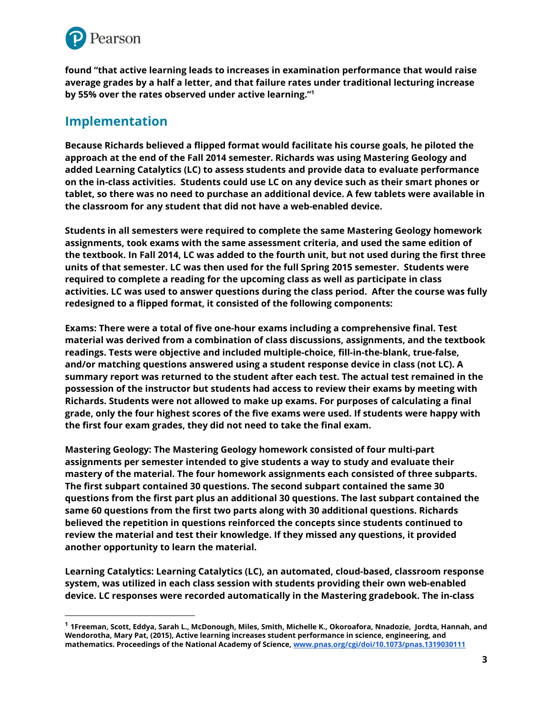

**found "that active learning leads to increases in examination performance that would raise average grades by a half a letter, and that failure rates under traditional lecturing increase by 55% over the rates observed under active learning." 1**

### **Implementation**

**Because Richards believed a flipped format would facilitate his course goals, he piloted the approach at the end of the Fall 2014 semester. Richards was using Mastering Geology and added Learning Catalytics (LC) to assess students and provide data to evaluate performance on the in-class activities. Students could use LC on any device such as their smart phones or tablet, so there was no need to purchase an additional device. A few tablets were available in the classroom for any student that did not have a web-enabled device.**

**Students in all semesters were required to complete the same Mastering Geology homework assignments, took exams with the same assessment criteria, and used the same edition of** the textbook. In Fall 2014, LC was added to the fourth unit, but not used during the first three **units of that semester. LC was then used for the full Spring 2015 semester. Students were required to complete a reading for the upcoming class as well as participate in class activities. LC was used to answer questions during the class period. After the course was fully redesigned to a flipped format, it consisted of the following components:**

**Exams: There were a total of five one-hour exams including a comprehensive final. Test material was derived from a combination of class discussions, assignments, and the textbook readings. Tests were objective and included multiple-choice, fill-in-the-blank, true-false, and/or matching questions answered using a student response device in class (not LC). A summary report was returned to the student after each test. The actual test remained in the possession of the instructor but students had access to review their exams by meeting with Richards. Students were not allowed to make up exams. For purposes of calculating a final grade, only the four highest scores of the five exams were used. If students were happy with the first four exam grades, they did not need to take the final exam.**

**Mastering Geology: The Mastering Geology homework consisted of four multi-part assignments per semester intended to give students a way to study and evaluate their mastery of the material. The four homework assignments each consisted of three subparts. The first subpart contained 30 questions. The second subpart contained the same 30 questions from the first part plus an additional 30 questions. The last subpart contained the same 60 questions from the first two parts along with 30 additional questions. Richards believed the repetition in questions reinforced the concepts since students continued to review the material and test their knowledge. If they missed any questions, it provided another opportunity to learn the material.**

**Learning Catalytics: Learning Catalytics (LC), an automated, cloud-based, classroom response system, was utilized in each class session with students providing their own web-enabled device. LC responses were recorded automatically in the Mastering gradebook. The in-class**

 $^1$  1Freeman, Scott, Eddya, Sarah L., McDonough, Miles, Smith, Michelle K., Okoroafora, Nnadozie, Jordta, Hannah, and **Wendorotha, Mary Pat, (2015), Active learning increases student performance in science, engineering, and mathematics. Proceedings of the National Academy of Science, [www.pnas.org/cgi/doi/10.1073/pnas.1319030111](http://www.pnas.org/cgi/doi/10.1073/pnas.1319030111)**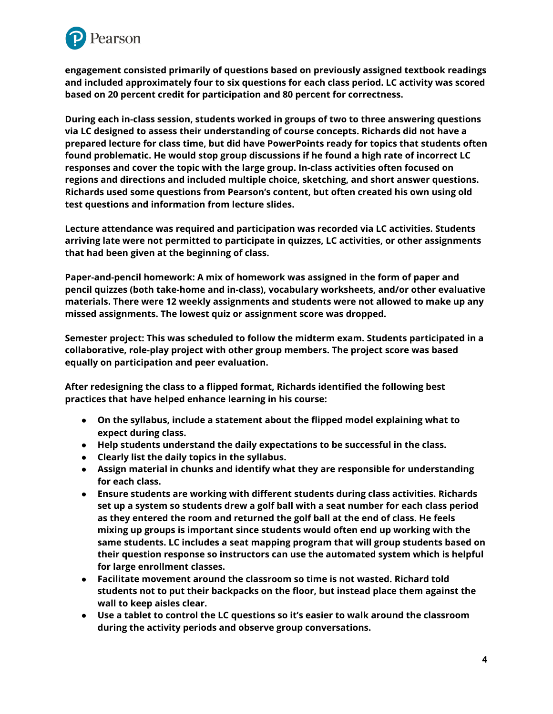

**engagement consisted primarily of questions based on previously assigned textbook readings and included approximately four to six questions for each class period. LC activity was scored based on 20 percent credit for participation and 80 percent for correctness.**

**During each in-class session, students worked in groups of two to three answering questions via LC designed to assess their understanding of course concepts. Richards did not have a prepared lecture for class time, but did have PowerPoints ready for topics that students often found problematic. He would stop group discussions if he found a high rate of incorrect LC responses and cover the topic with the large group. In-class activities often focused on regions and directions and included multiple choice, sketching, and short answer questions. Richards used some questions from Pearson's content, but often created his own using old test questions and information from lecture slides.**

**Lecture attendance was required and participation was recorded via LC activities. Students arriving late were not permitted to participate in quizzes, LC activities, or other assignments that had been given at the beginning of class.**

**Paper-and-pencil homework: A mix of homework was assigned in the form of paper and pencil quizzes (both take-home and in-class), vocabulary worksheets, and/or other evaluative materials. There were 12 weekly assignments and students were not allowed to make up any missed assignments. The lowest quiz or assignment score was dropped.**

**Semester project: This was scheduled to follow the midterm exam. Students participated in a collaborative, role-play project with other group members. The project score was based equally on participation and peer evaluation.**

**After redesigning the class to a flipped format, Richards identified the following best practices that have helped enhance learning in his course:**

- **On the syllabus, include a statement about the flipped model explaining what to expect during class.**
- **Help students understand the daily expectations to be successful in the class.**
- **Clearly list the daily topics in the syllabus.**
- **Assign material in chunks and identify what they are responsible for understanding for each class.**
- **Ensure students are working with different students during class activities. Richards set up a system so students drew a golf ball with a seat number for each class period as they entered the room and returned the golf ball at the end of class. He feels mixing up groups is important since students would often end up working with the same students. LC includes a seat mapping program that will group students based on their question response so instructors can use the automated system which is helpful for large enrollment classes.**
- **Facilitate movement around the classroom so time is not wasted. Richard told students not to put their backpacks on the floor, but instead place them against the wall to keep aisles clear.**
- **Use a tablet to control the LC questions so it's easier to walk around the classroom during the activity periods and observe group conversations.**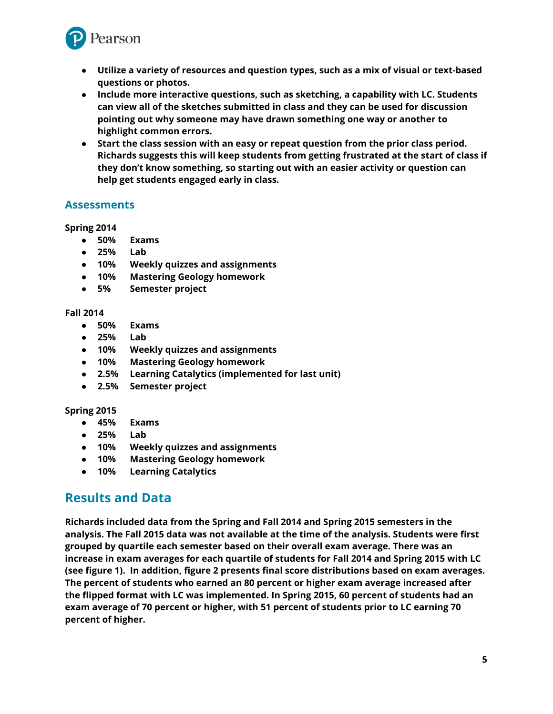

- **Utilize a variety of resources and question types, such as a mix of visual or text-based questions or photos.**
- **Include more interactive questions, such as sketching, a capability with LC. Students can view all of the sketches submitted in class and they can be used for discussion pointing out why someone may have drawn something one way or another to highlight common errors.**
- **Start the class session with an easy or repeat question from the prior class period. Richards suggests this will keep students from getting frustrated at the start of class if they don't know something, so starting out with an easier activity or question can help get students engaged early in class.**

#### **Assessments**

#### **Spring 2014**

- **50% Exams**
- **25% Lab**
- **10% Weekly quizzes and assignments**
- **10% Mastering Geology homework**
- **5% Semester project**

#### **Fall 2014**

- **50% Exams**
- **25% Lab**
- **10% Weekly quizzes and assignments**
- **10% Mastering Geology homework**
- **2.5% Learning Catalytics (implemented for last unit)**
- **2.5% Semester project**

#### **Spring 2015**

- **45% Exams**
- **25% Lab**
- **10% Weekly quizzes and assignments**
- **10% Mastering Geology homework**
- **10% Learning Catalytics**

### **Results and Data**

**Richards included data from the Spring and Fall 2014 and Spring 2015 semesters in the analysis. The Fall 2015 data was not available at the time of the analysis. Students were first grouped by quartile each semester based on their overall exam average. There was an increase in exam averages for each quartile of students for Fall 2014 and Spring 2015 with LC (see figure 1). In addition, figure 2 presents final score distributions based on exam averages. The percent of students who earned an 80 percent or higher exam average increased after the flipped format with LC was implemented. In Spring 2015, 60 percent of students had an exam average of 70 percent or higher, with 51 percent of students prior to LC earning 70 percent of higher.**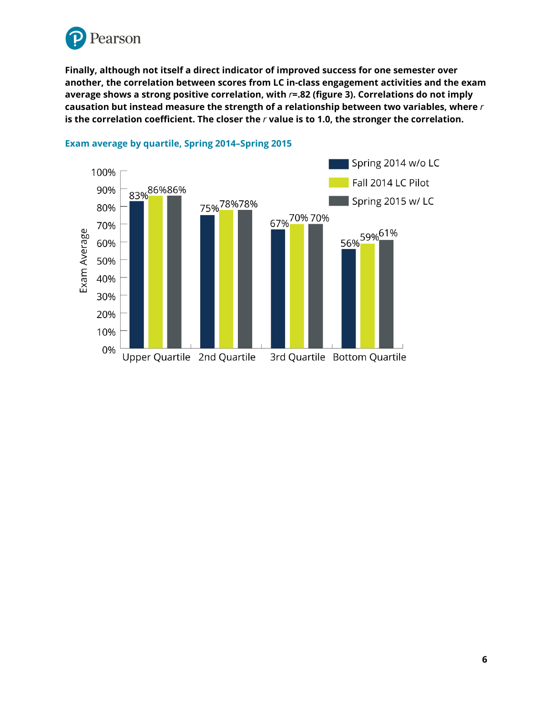

**Finally, although not itself a direct indicator of improved success for one semester over another, the correlation between scores from LC in-class engagement activities and the exam average shows a strong positive correlation, with** *r***=.82 (figure 3). Correlations do not imply causation but instead measure the strength of a relationship between two variables, where** *r* **is the correlation coefficient. The closer the** *r* **value is to 1.0, the stronger the correlation.**



#### **Exam average by quartile, Spring 2014–Spring 2015**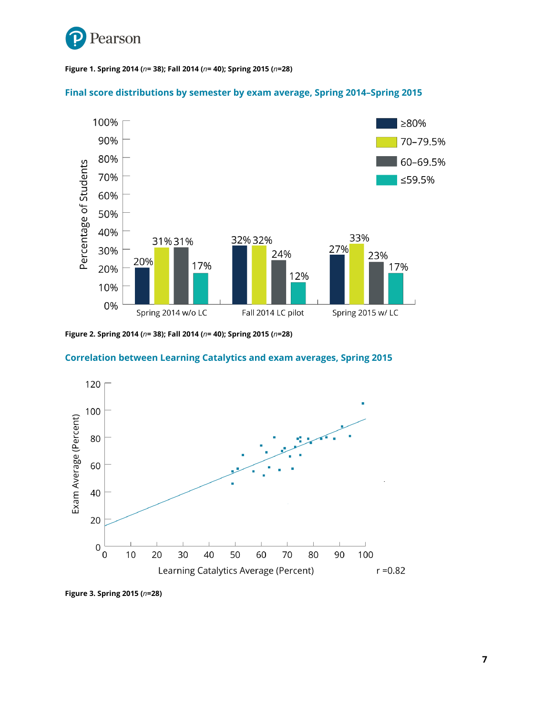

#### **Figure 1. Spring 2014 (***n***= 38); Fall 2014 (***n***= 40); Spring 2015 (***n***=28)**

#### **Final score distributions by semester by exam average, Spring 2014–Spring 2015**



**Figure 2. Spring 2014 (***n***= 38); Fall 2014 (***n***= 40); Spring 2015 (***n***=28)**

#### **Correlation between Learning Catalytics and exam averages, Spring 2015**



**Figure 3. Spring 2015 (***n***=28)**